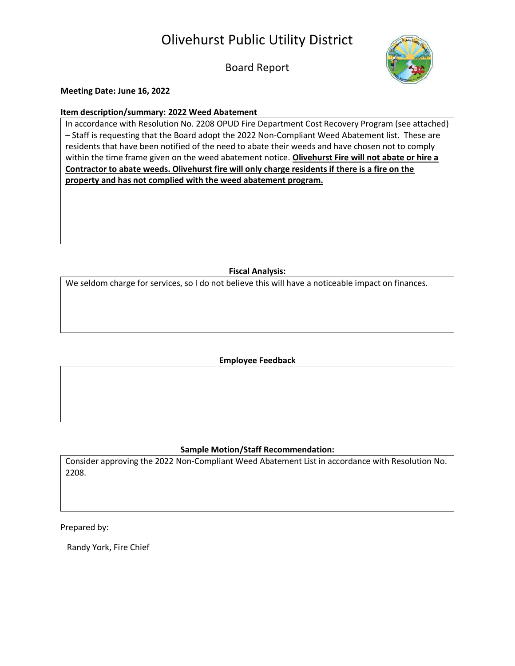Olivehurst Public Utility District

Board Report



**Meeting Date: June 16, 2022**

## **Item description/summary: 2022 Weed Abatement**

In accordance with Resolution No. 2208 OPUD Fire Department Cost Recovery Program (see attached) – Staff is requesting that the Board adopt the 2022 Non-Compliant Weed Abatement list. These are residents that have been notified of the need to abate their weeds and have chosen not to comply within the time frame given on the weed abatement notice. **Olivehurst Fire will not abate or hire a Contractor to abate weeds. Olivehurst fire will only charge residents if there is a fire on the property and has not complied with the weed abatement program.** 

## **Fiscal Analysis:**

We seldom charge for services, so I do not believe this will have a noticeable impact on finances.

**Employee Feedback**

## **Sample Motion/Staff Recommendation:**

Consider approving the 2022 Non-Compliant Weed Abatement List in accordance with Resolution No. 2208.

Prepared by:

Randy York, Fire Chief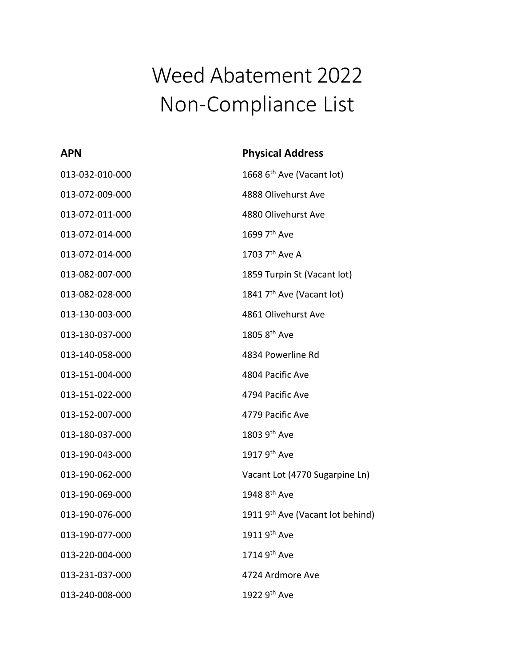## Weed Abatement 2022 Non-Compliance List

| <b>APN</b>      | <b>Physical Address</b>                      |
|-----------------|----------------------------------------------|
| 013-032-010-000 | 1668 6 <sup>th</sup> Ave (Vacant lot)        |
| 013-072-009-000 | 4888 Olivehurst Ave                          |
| 013-072-011-000 | 4880 Olivehurst Ave                          |
| 013-072-014-000 | 1699 7 <sup>th</sup> Ave                     |
| 013-072-014-000 | 1703 7 <sup>th</sup> Ave A                   |
| 013-082-007-000 | 1859 Turpin St (Vacant lot)                  |
| 013-082-028-000 | 1841 7 <sup>th</sup> Ave (Vacant lot)        |
| 013-130-003-000 | 4861 Olivehurst Ave                          |
| 013-130-037-000 | 1805 8 <sup>th</sup> Ave                     |
| 013-140-058-000 | 4834 Powerline Rd                            |
| 013-151-004-000 | 4804 Pacific Ave                             |
| 013-151-022-000 | 4794 Pacific Ave                             |
| 013-152-007-000 | 4779 Pacific Ave                             |
| 013-180-037-000 | 1803 9 <sup>th</sup> Ave                     |
| 013-190-043-000 | 1917 9th Ave                                 |
| 013-190-062-000 | Vacant Lot (4770 Sugarpine Ln)               |
| 013-190-069-000 | 1948 8 <sup>th</sup> Ave                     |
| 013-190-076-000 | 1911 9 <sup>th</sup> Ave (Vacant lot behind) |
| 013-190-077-000 | 1911 9 <sup>th</sup> Ave                     |
| 013-220-004-000 | 1714 9 <sup>th</sup> Ave                     |
| 013-231-037-000 | 4724 Ardmore Ave                             |
| 013-240-008-000 | 1922 9 <sup>th</sup> Ave                     |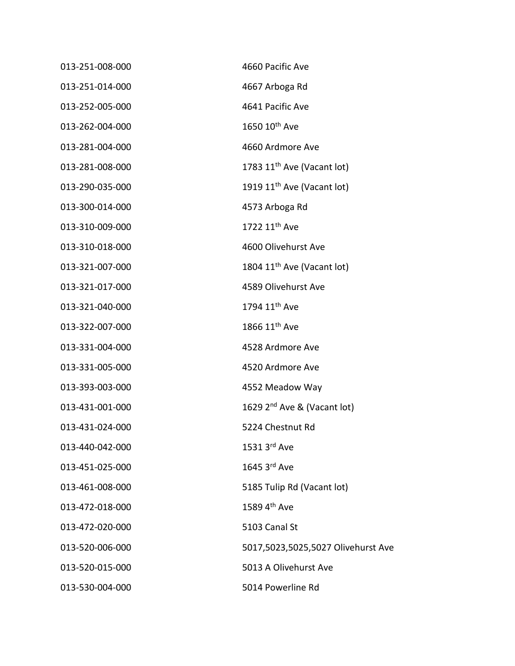| 013-251-008-000 | 4660 Pacific Ave                        |
|-----------------|-----------------------------------------|
| 013-251-014-000 | 4667 Arboga Rd                          |
| 013-252-005-000 | 4641 Pacific Ave                        |
| 013-262-004-000 | 1650 10 <sup>th</sup> Ave               |
| 013-281-004-000 | 4660 Ardmore Ave                        |
| 013-281-008-000 | 1783 11 <sup>th</sup> Ave (Vacant lot)  |
| 013-290-035-000 | 1919 11 <sup>th</sup> Ave (Vacant lot)  |
| 013-300-014-000 | 4573 Arboga Rd                          |
| 013-310-009-000 | 1722 11 <sup>th</sup> Ave               |
| 013-310-018-000 | 4600 Olivehurst Ave                     |
| 013-321-007-000 | 1804 11 <sup>th</sup> Ave (Vacant lot)  |
| 013-321-017-000 | 4589 Olivehurst Ave                     |
| 013-321-040-000 | 1794 11 <sup>th</sup> Ave               |
| 013-322-007-000 | 1866 11 <sup>th</sup> Ave               |
| 013-331-004-000 | 4528 Ardmore Ave                        |
| 013-331-005-000 | 4520 Ardmore Ave                        |
| 013-393-003-000 | 4552 Meadow Way                         |
| 013-431-001-000 | 1629 2 <sup>nd</sup> Ave & (Vacant lot) |
| 013-431-024-000 | 5224 Chestnut Rd                        |
| 013-440-042-000 | 1531 3rd Ave                            |
| 013-451-025-000 | 1645 3rd Ave                            |
| 013-461-008-000 | 5185 Tulip Rd (Vacant lot)              |
| 013-472-018-000 | 1589 4th Ave                            |
| 013-472-020-000 | 5103 Canal St                           |
| 013-520-006-000 | 5017,5023,5025,5027 Olivehurst Ave      |
| 013-520-015-000 | 5013 A Olivehurst Ave                   |
| 013-530-004-000 | 5014 Powerline Rd                       |